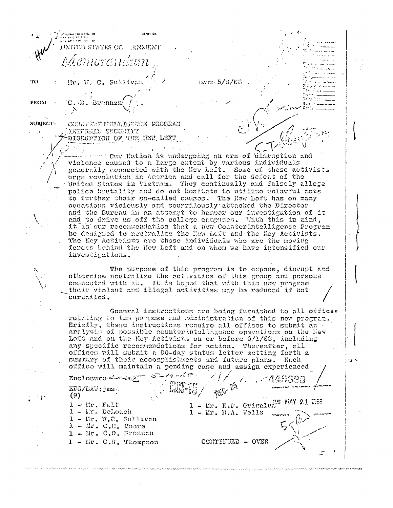**JOBERTAL FORM RG. 10** ,,,,,,,, (1995-1999)<br>14. GENU ARTU (1800-1990) *(JNITED STATES GC - RNMENT* m. Mr. W. C. Sullivan DATE: 5/0/63 C.D. Brennan **FROM** SUBJECT: COUNTESTRETALIGENCE PROGRAM INTERNAL SECURITY DISRUPTION OF THE NEW LEFT  $\mathcal{O}(\frac{1}{2})$  . ony Our Hation is undergoing an era of disruption and violonee caused to a large extent by various individuals generally connected with the Hew Left. Some of these activists urge revolution in America and call for the defeat of the United States in Tietnam. They continually and falsely allege police brutality and do not hositate to utilize unlawful acts to further their so-called causes. The New Left has on many occasions viciously and seurrilously attacked the Director and the Bureau hi an attempt to hamper our investigation of it and to drive us off the college campuses. With this in mind, it is our recommendation that a new Counterintelligence Program be designed to neutralize the New Left and the Key Activists. The Key Activists are those individuals who are the moving forces behind the New Left and on whom we have intensified our investigations. The purpose of this program is to expose, disrupt and otherwise neutralize the activities of this group and persons connected with it. It is hoped that with this new program their violent and illegal activities may be reduced if not curtailed. General instructions are being furnished to all offices relating to the purpose and administration of this new program. Briefly, these instructions require all offices to submit an analysis of possible counterintelligence operations on the New Left and on the Key Activists on or before 6/1/68, including any specific recommendations for action. Thereafter, all offices will submit a 90-day status letter setting forth a summary of their accomplishments and future plans. Each office will maintain a pending case and assign experienced తె–ఈ-శిచి Enclosure 阿尔尼亚 LEGI-15/ REG 25  $EFG/BAI$ : jms  $(9)$  $1 - Mr. E.P.$  Grigalus<sup>25</sup> MAY 21 366 1 = Mr. Felt 1 - Mr. DeLoach  $1 - Mr. B.A. We 11s$  $1 - \text{Mv}$ . W.C. Sullivan  $\lambda = \text{lim. } G_{\bullet}C_{\bullet}$  Moore

- $1 \text{lin. C.D. From an}$
- $1 \text{Mr. C.W. The$

CONTINUED - OVER

eg →